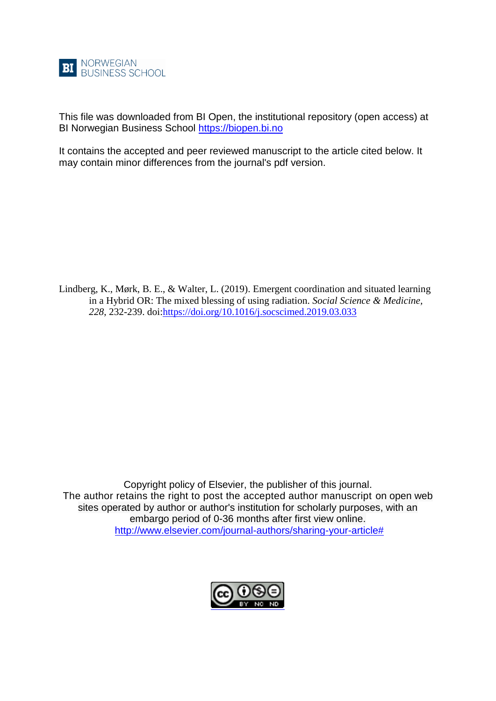

This file was downloaded from BI Open, the institutional repository (open access) at BI Norwegian Business School [https://biopen.bi.no](https://biopen.bi.no/)

It contains the accepted and peer reviewed manuscript to the article cited below. It may contain minor differences from the journal's pdf version.

Lindberg, K., Mørk, B. E., & Walter, L. (2019). Emergent coordination and situated learning in a Hybrid OR: The mixed blessing of using radiation. *Social Science & Medicine, 228*, 232-239. doi[:https://doi.org/10.1016/j.socscimed.2019.03.033](https://doi.org/10.1016/j.socscimed.2019.03.033)

Copyright policy of Elsevier, the publisher of this journal. The author retains the right to post the accepted author manuscript on open web sites operated by author or author's institution for scholarly purposes, with an embargo period of 0-36 months after first view online. [http://www.elsevier.com/journal-authors/sharing-your-article#](http://www.elsevier.com/journal-authors/sharing-your-article)

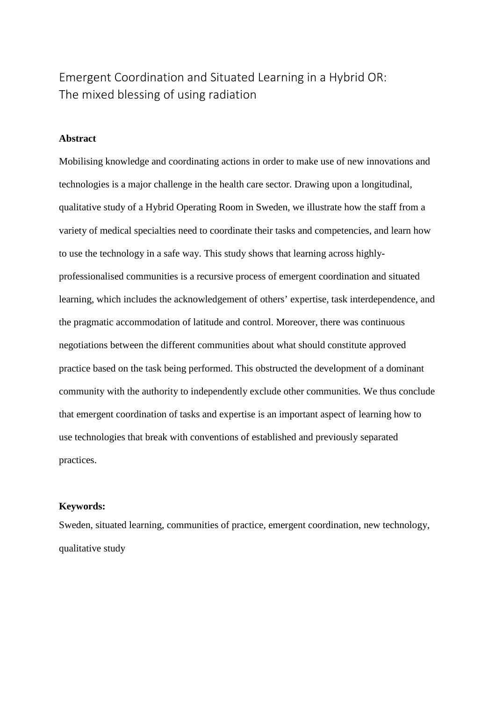# Emergent Coordination and Situated Learning in a Hybrid OR: The mixed blessing of using radiation

## **Abstract**

Mobilising knowledge and coordinating actions in order to make use of new innovations and technologies is a major challenge in the health care sector. Drawing upon a longitudinal, qualitative study of a Hybrid Operating Room in Sweden, we illustrate how the staff from a variety of medical specialties need to coordinate their tasks and competencies, and learn how to use the technology in a safe way. This study shows that learning across highlyprofessionalised communities is a recursive process of emergent coordination and situated learning, which includes the acknowledgement of others' expertise, task interdependence, and the pragmatic accommodation of latitude and control. Moreover, there was continuous negotiations between the different communities about what should constitute approved practice based on the task being performed. This obstructed the development of a dominant community with the authority to independently exclude other communities. We thus conclude that emergent coordination of tasks and expertise is an important aspect of learning how to use technologies that break with conventions of established and previously separated practices.

# **Keywords:**

Sweden, situated learning, communities of practice, emergent coordination, new technology, qualitative study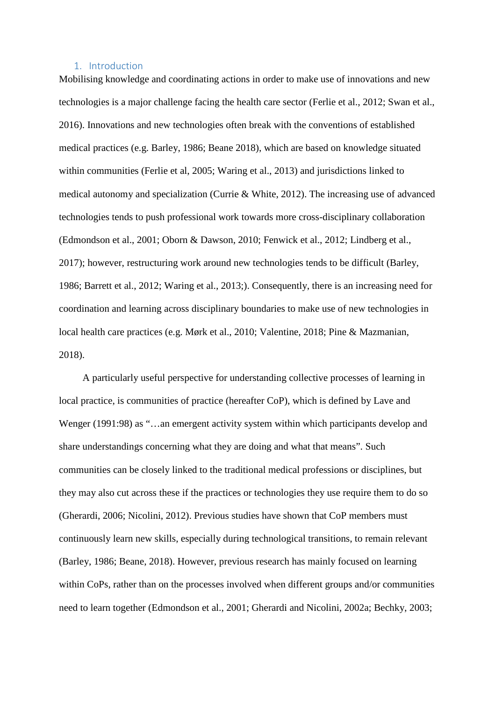## 1. Introduction

Mobilising knowledge and coordinating actions in order to make use of innovations and new technologies is a major challenge facing the health care sector (Ferlie et al., 2012; Swan et al., 2016). Innovations and new technologies often break with the conventions of established medical practices (e.g. Barley, 1986; Beane 2018), which are based on knowledge situated within communities (Ferlie et al, 2005; Waring et al., 2013) and jurisdictions linked to medical autonomy and specialization (Currie & White, 2012). The increasing use of advanced technologies tends to push professional work towards more cross-disciplinary collaboration (Edmondson et al., 2001; Oborn & Dawson, 2010; Fenwick et al., 2012; Lindberg et al., 2017); however, restructuring work around new technologies tends to be difficult (Barley, 1986; Barrett et al., 2012; Waring et al., 2013;). Consequently, there is an increasing need for coordination and learning across disciplinary boundaries to make use of new technologies in local health care practices (e.g. Mørk et al., 2010; Valentine, 2018; Pine & Mazmanian, 2018).

A particularly useful perspective for understanding collective processes of learning in local practice, is communities of practice (hereafter CoP), which is defined by Lave and Wenger (1991:98) as "…an emergent activity system within which participants develop and share understandings concerning what they are doing and what that means". Such communities can be closely linked to the traditional medical professions or disciplines, but they may also cut across these if the practices or technologies they use require them to do so (Gherardi, 2006; Nicolini, 2012). Previous studies have shown that CoP members must continuously learn new skills, especially during technological transitions, to remain relevant (Barley, 1986; Beane, 2018). However, previous research has mainly focused on learning within CoPs, rather than on the processes involved when different groups and/or communities need to learn together (Edmondson et al., 2001; Gherardi and Nicolini, 2002a; Bechky, 2003;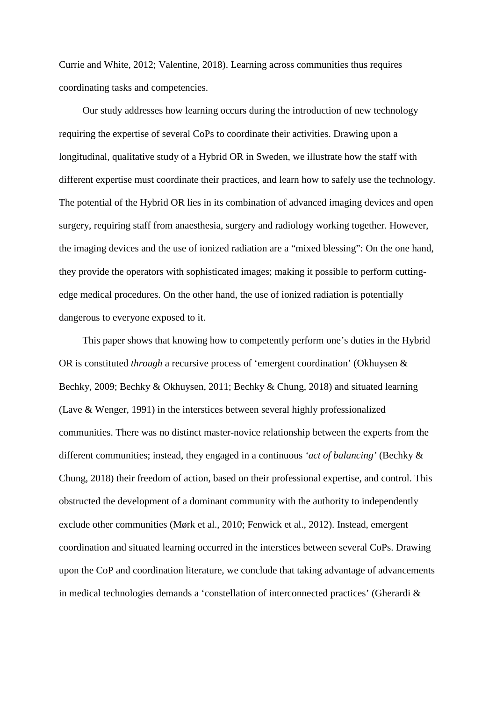Currie and White, 2012; Valentine, 2018). Learning across communities thus requires coordinating tasks and competencies.

Our study addresses how learning occurs during the introduction of new technology requiring the expertise of several CoPs to coordinate their activities. Drawing upon a longitudinal, qualitative study of a Hybrid OR in Sweden, we illustrate how the staff with different expertise must coordinate their practices, and learn how to safely use the technology. The potential of the Hybrid OR lies in its combination of advanced imaging devices and open surgery, requiring staff from anaesthesia, surgery and radiology working together. However, the imaging devices and the use of ionized radiation are a "mixed blessing": On the one hand, they provide the operators with sophisticated images; making it possible to perform cuttingedge medical procedures. On the other hand, the use of ionized radiation is potentially dangerous to everyone exposed to it.

This paper shows that knowing how to competently perform one's duties in the Hybrid OR is constituted *through* a recursive process of 'emergent coordination' (Okhuysen & Bechky, 2009; Bechky & Okhuysen, 2011; Bechky & Chung, 2018) and situated learning (Lave & Wenger, 1991) in the interstices between several highly professionalized communities. There was no distinct master-novice relationship between the experts from the different communities; instead, they engaged in a continuous *'act of balancing'* (Bechky & Chung, 2018) their freedom of action, based on their professional expertise, and control. This obstructed the development of a dominant community with the authority to independently exclude other communities (Mørk et al., 2010; Fenwick et al., 2012). Instead, emergent coordination and situated learning occurred in the interstices between several CoPs. Drawing upon the CoP and coordination literature, we conclude that taking advantage of advancements in medical technologies demands a 'constellation of interconnected practices' (Gherardi &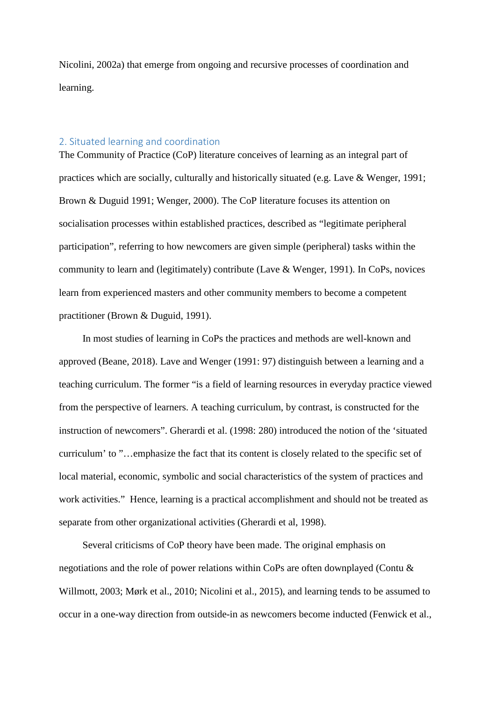Nicolini, 2002a) that emerge from ongoing and recursive processes of coordination and learning.

# 2. Situated learning and coordination

The Community of Practice (CoP) literature conceives of learning as an integral part of practices which are socially, culturally and historically situated (e.g. Lave & Wenger, 1991; Brown & Duguid 1991; Wenger, 2000). The CoP literature focuses its attention on socialisation processes within established practices, described as "legitimate peripheral participation", referring to how newcomers are given simple (peripheral) tasks within the community to learn and (legitimately) contribute (Lave & Wenger, 1991). In CoPs, novices learn from experienced masters and other community members to become a competent practitioner (Brown & Duguid, 1991).

In most studies of learning in CoPs the practices and methods are well-known and approved (Beane, 2018). Lave and Wenger (1991: 97) distinguish between a learning and a teaching curriculum. The former "is a field of learning resources in everyday practice viewed from the perspective of learners. A teaching curriculum, by contrast, is constructed for the instruction of newcomers". Gherardi et al. (1998: 280) introduced the notion of the 'situated curriculum' to "…emphasize the fact that its content is closely related to the specific set of local material, economic, symbolic and social characteristics of the system of practices and work activities." Hence, learning is a practical accomplishment and should not be treated as separate from other organizational activities (Gherardi et al, 1998).

Several criticisms of CoP theory have been made. The original emphasis on negotiations and the role of power relations within CoPs are often downplayed (Contu & Willmott, 2003; Mørk et al., 2010; Nicolini et al., 2015), and learning tends to be assumed to occur in a one-way direction from outside-in as newcomers become inducted (Fenwick et al.,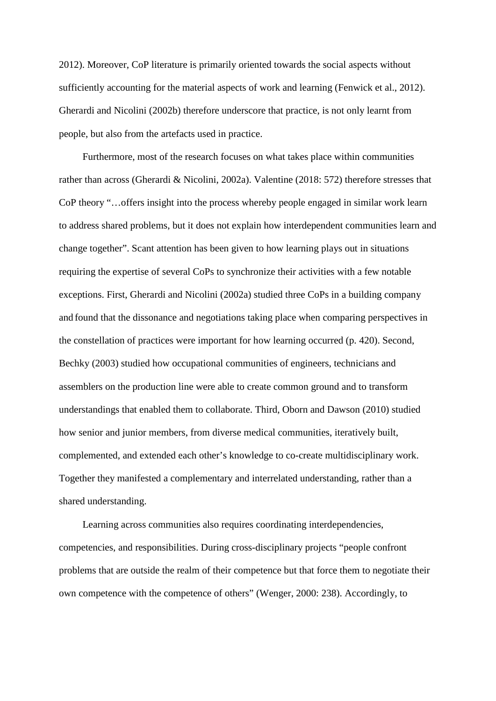2012). Moreover, CoP literature is primarily oriented towards the social aspects without sufficiently accounting for the material aspects of work and learning (Fenwick et al., 2012). Gherardi and Nicolini (2002b) therefore underscore that practice, is not only learnt from people, but also from the artefacts used in practice.

Furthermore, most of the research focuses on what takes place within communities rather than across (Gherardi & Nicolini, 2002a). Valentine (2018: 572) therefore stresses that CoP theory "…offers insight into the process whereby people engaged in similar work learn to address shared problems, but it does not explain how interdependent communities learn and change together". Scant attention has been given to how learning plays out in situations requiring the expertise of several CoPs to synchronize their activities with a few notable exceptions. First, Gherardi and Nicolini (2002a) studied three CoPs in a building company and found that the dissonance and negotiations taking place when comparing perspectives in the constellation of practices were important for how learning occurred (p. 420). Second, Bechky (2003) studied how occupational communities of engineers, technicians and assemblers on the production line were able to create common ground and to transform understandings that enabled them to collaborate. Third, Oborn and Dawson (2010) studied how senior and junior members, from diverse medical communities, iteratively built, complemented, and extended each other's knowledge to co-create multidisciplinary work. Together they manifested a complementary and interrelated understanding, rather than a shared understanding.

Learning across communities also requires coordinating interdependencies, competencies, and responsibilities. During cross-disciplinary projects "people confront problems that are outside the realm of their competence but that force them to negotiate their own competence with the competence of others" (Wenger, 2000: 238). Accordingly, to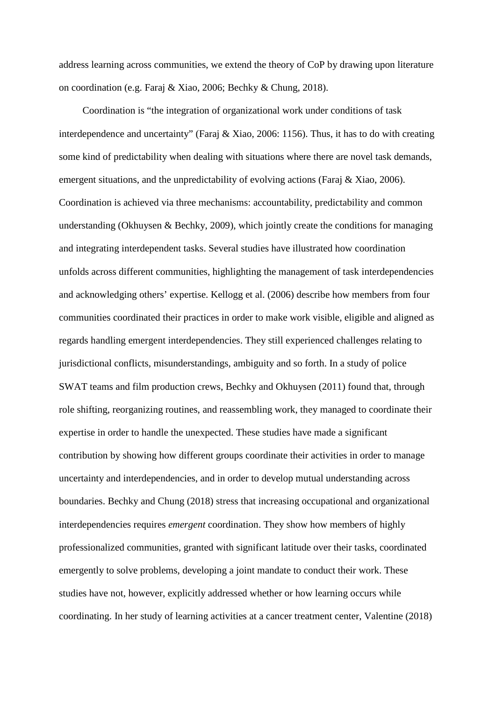address learning across communities, we extend the theory of CoP by drawing upon literature on coordination (e.g. Faraj & Xiao, 2006; Bechky & Chung, 2018).

Coordination is "the integration of organizational work under conditions of task interdependence and uncertainty" (Faraj & Xiao, 2006: 1156). Thus, it has to do with creating some kind of predictability when dealing with situations where there are novel task demands, emergent situations, and the unpredictability of evolving actions (Faraj & Xiao, 2006). Coordination is achieved via three mechanisms: accountability, predictability and common understanding (Okhuysen & Bechky, 2009), which jointly create the conditions for managing and integrating interdependent tasks. Several studies have illustrated how coordination unfolds across different communities, highlighting the management of task interdependencies and acknowledging others' expertise. Kellogg et al. (2006) describe how members from four communities coordinated their practices in order to make work visible, eligible and aligned as regards handling emergent interdependencies. They still experienced challenges relating to jurisdictional conflicts, misunderstandings, ambiguity and so forth. In a study of police SWAT teams and film production crews, Bechky and Okhuysen (2011) found that, through role shifting, reorganizing routines, and reassembling work, they managed to coordinate their expertise in order to handle the unexpected. These studies have made a significant contribution by showing how different groups coordinate their activities in order to manage uncertainty and interdependencies, and in order to develop mutual understanding across boundaries. Bechky and Chung (2018) stress that increasing occupational and organizational interdependencies requires *emergent* coordination. They show how members of highly professionalized communities, granted with significant latitude over their tasks, coordinated emergently to solve problems, developing a joint mandate to conduct their work. These studies have not, however, explicitly addressed whether or how learning occurs while coordinating. In her study of learning activities at a cancer treatment center, Valentine (2018)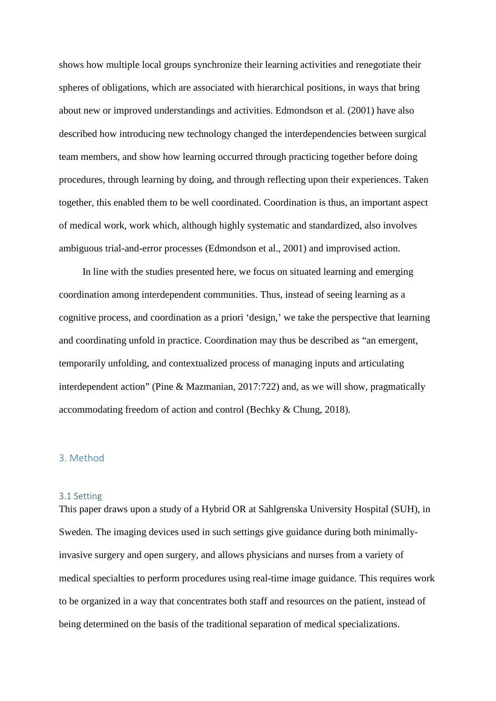shows how multiple local groups synchronize their learning activities and renegotiate their spheres of obligations, which are associated with hierarchical positions, in ways that bring about new or improved understandings and activities. Edmondson et al. (2001) have also described how introducing new technology changed the interdependencies between surgical team members, and show how learning occurred through practicing together before doing procedures, through learning by doing, and through reflecting upon their experiences. Taken together, this enabled them to be well coordinated. Coordination is thus, an important aspect of medical work, work which, although highly systematic and standardized, also involves ambiguous trial-and-error processes (Edmondson et al., 2001) and improvised action.

In line with the studies presented here, we focus on situated learning and emerging coordination among interdependent communities. Thus, instead of seeing learning as a cognitive process, and coordination as a priori 'design,' we take the perspective that learning and coordinating unfold in practice. Coordination may thus be described as "an emergent, temporarily unfolding, and contextualized process of managing inputs and articulating interdependent action" (Pine & Mazmanian, 2017:722) and, as we will show, pragmatically accommodating freedom of action and control (Bechky & Chung, 2018).

## 3. Method

# 3.1 Setting

This paper draws upon a study of a Hybrid OR at Sahlgrenska University Hospital (SUH), in Sweden. The imaging devices used in such settings give guidance during both minimallyinvasive surgery and open surgery, and allows physicians and nurses from a variety of medical specialties to perform procedures using real-time image guidance. This requires work to be organized in a way that concentrates both staff and resources on the patient, instead of being determined on the basis of the traditional separation of medical specializations.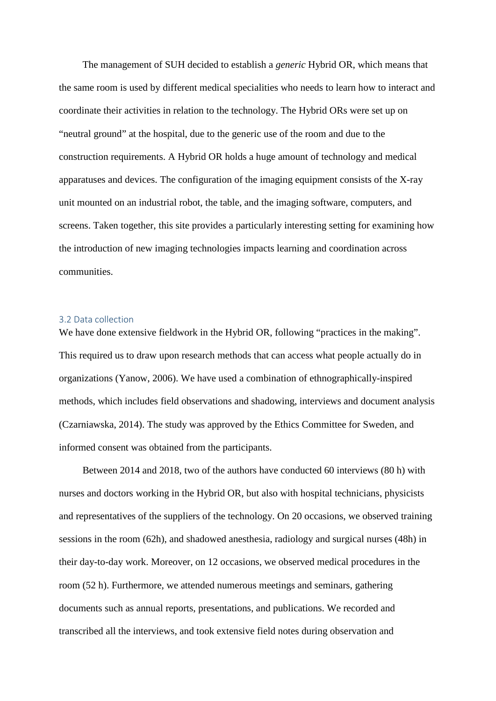The management of SUH decided to establish a *generic* Hybrid OR, which means that the same room is used by different medical specialities who needs to learn how to interact and coordinate their activities in relation to the technology. The Hybrid ORs were set up on "neutral ground" at the hospital, due to the generic use of the room and due to the construction requirements. A Hybrid OR holds a huge amount of technology and medical apparatuses and devices. The configuration of the imaging equipment consists of the X-ray unit mounted on an industrial robot, the table, and the imaging software, computers, and screens. Taken together, this site provides a particularly interesting setting for examining how the introduction of new imaging technologies impacts learning and coordination across communities.

#### 3.2 Data collection

We have done extensive fieldwork in the Hybrid OR, following "practices in the making". This required us to draw upon research methods that can access what people actually do in organizations (Yanow, 2006). We have used a combination of ethnographically-inspired methods, which includes field observations and shadowing, interviews and document analysis (Czarniawska, 2014). The study was approved by the Ethics Committee for Sweden, and informed consent was obtained from the participants.

Between 2014 and 2018, two of the authors have conducted 60 interviews (80 h) with nurses and doctors working in the Hybrid OR, but also with hospital technicians, physicists and representatives of the suppliers of the technology. On 20 occasions, we observed training sessions in the room (62h), and shadowed anesthesia, radiology and surgical nurses (48h) in their day-to-day work. Moreover, on 12 occasions, we observed medical procedures in the room (52 h). Furthermore, we attended numerous meetings and seminars, gathering documents such as annual reports, presentations, and publications. We recorded and transcribed all the interviews, and took extensive field notes during observation and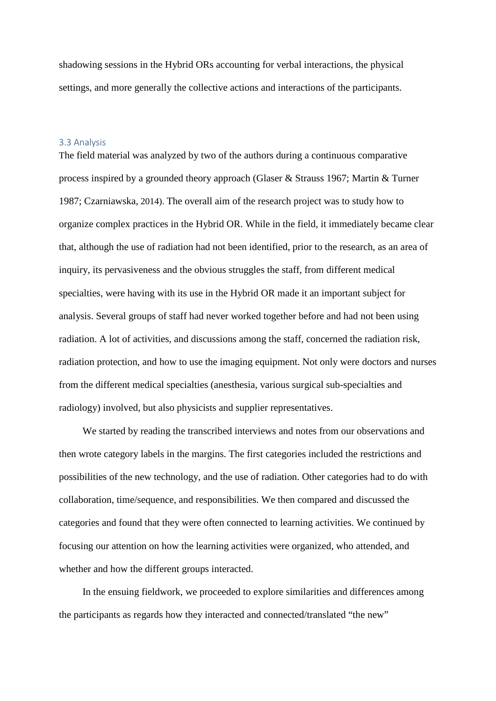shadowing sessions in the Hybrid ORs accounting for verbal interactions, the physical settings, and more generally the collective actions and interactions of the participants.

#### 3.3 Analysis

The field material was analyzed by two of the authors during a continuous comparative process inspired by a grounded theory approach (Glaser & Strauss 1967; Martin & Turner 1987; Czarniawska, 2014). The overall aim of the research project was to study how to organize complex practices in the Hybrid OR. While in the field, it immediately became clear that, although the use of radiation had not been identified, prior to the research, as an area of inquiry, its pervasiveness and the obvious struggles the staff, from different medical specialties, were having with its use in the Hybrid OR made it an important subject for analysis. Several groups of staff had never worked together before and had not been using radiation. A lot of activities, and discussions among the staff, concerned the radiation risk, radiation protection, and how to use the imaging equipment. Not only were doctors and nurses from the different medical specialties (anesthesia, various surgical sub-specialties and radiology) involved, but also physicists and supplier representatives.

We started by reading the transcribed interviews and notes from our observations and then wrote category labels in the margins. The first categories included the restrictions and possibilities of the new technology, and the use of radiation. Other categories had to do with collaboration, time/sequence, and responsibilities. We then compared and discussed the categories and found that they were often connected to learning activities. We continued by focusing our attention on how the learning activities were organized, who attended, and whether and how the different groups interacted.

In the ensuing fieldwork, we proceeded to explore similarities and differences among the participants as regards how they interacted and connected/translated "the new"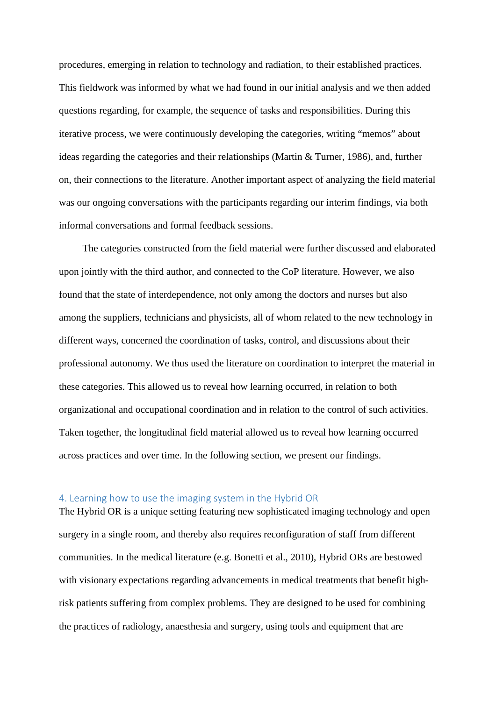procedures, emerging in relation to technology and radiation, to their established practices. This fieldwork was informed by what we had found in our initial analysis and we then added questions regarding, for example, the sequence of tasks and responsibilities. During this iterative process, we were continuously developing the categories, writing "memos" about ideas regarding the categories and their relationships (Martin & Turner, 1986), and, further on, their connections to the literature. Another important aspect of analyzing the field material was our ongoing conversations with the participants regarding our interim findings, via both informal conversations and formal feedback sessions.

The categories constructed from the field material were further discussed and elaborated upon jointly with the third author, and connected to the CoP literature. However, we also found that the state of interdependence, not only among the doctors and nurses but also among the suppliers, technicians and physicists, all of whom related to the new technology in different ways, concerned the coordination of tasks, control, and discussions about their professional autonomy. We thus used the literature on coordination to interpret the material in these categories. This allowed us to reveal how learning occurred, in relation to both organizational and occupational coordination and in relation to the control of such activities. Taken together, the longitudinal field material allowed us to reveal how learning occurred across practices and over time. In the following section, we present our findings.

# 4. Learning how to use the imaging system in the Hybrid OR

The Hybrid OR is a unique setting featuring new sophisticated imaging technology and open surgery in a single room, and thereby also requires reconfiguration of staff from different communities. In the medical literature (e.g. Bonetti et al., 2010), Hybrid ORs are bestowed with visionary expectations regarding advancements in medical treatments that benefit highrisk patients suffering from complex problems. They are designed to be used for combining the practices of radiology, anaesthesia and surgery, using tools and equipment that are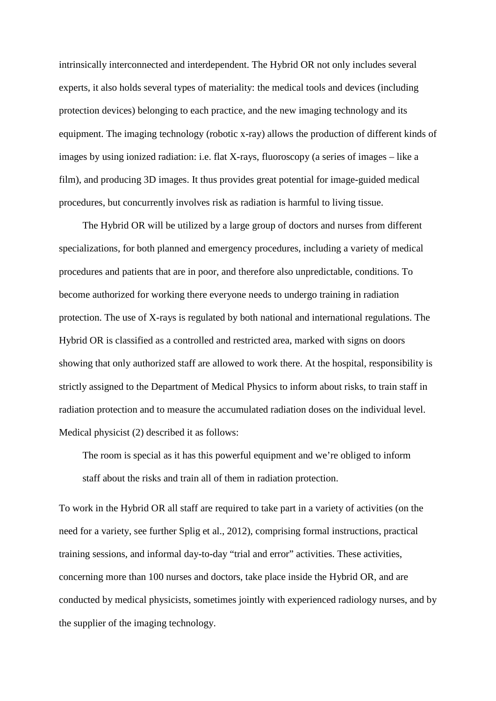intrinsically interconnected and interdependent. The Hybrid OR not only includes several experts, it also holds several types of materiality: the medical tools and devices (including protection devices) belonging to each practice, and the new imaging technology and its equipment. The imaging technology (robotic x-ray) allows the production of different kinds of images by using ionized radiation: i.e. flat X-rays, fluoroscopy (a series of images – like a film), and producing 3D images. It thus provides great potential for image-guided medical procedures, but concurrently involves risk as radiation is harmful to living tissue.

The Hybrid OR will be utilized by a large group of doctors and nurses from different specializations, for both planned and emergency procedures, including a variety of medical procedures and patients that are in poor, and therefore also unpredictable, conditions. To become authorized for working there everyone needs to undergo training in radiation protection. The use of X-rays is regulated by both national and international regulations. The Hybrid OR is classified as a controlled and restricted area, marked with signs on doors showing that only authorized staff are allowed to work there. At the hospital, responsibility is strictly assigned to the Department of Medical Physics to inform about risks, to train staff in radiation protection and to measure the accumulated radiation doses on the individual level. Medical physicist (2) described it as follows:

The room is special as it has this powerful equipment and we're obliged to inform staff about the risks and train all of them in radiation protection.

To work in the Hybrid OR all staff are required to take part in a variety of activities (on the need for a variety, see further Splig et al., 2012), comprising formal instructions, practical training sessions, and informal day-to-day "trial and error" activities. These activities, concerning more than 100 nurses and doctors, take place inside the Hybrid OR, and are conducted by medical physicists, sometimes jointly with experienced radiology nurses, and by the supplier of the imaging technology.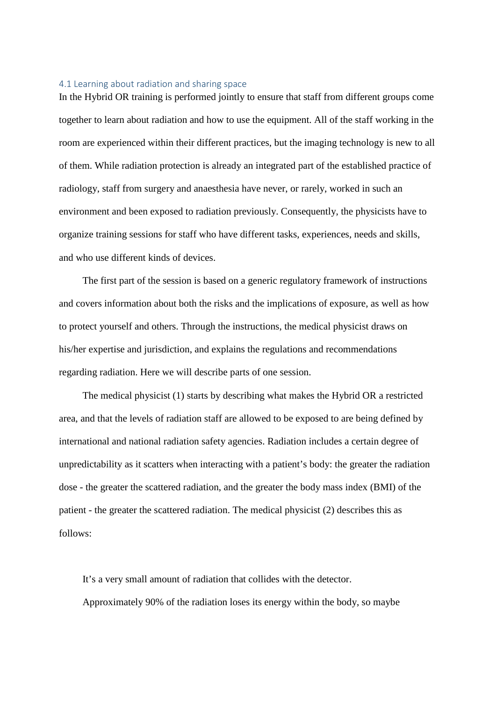#### 4.1 Learning about radiation and sharing space

In the Hybrid OR training is performed jointly to ensure that staff from different groups come together to learn about radiation and how to use the equipment. All of the staff working in the room are experienced within their different practices, but the imaging technology is new to all of them. While radiation protection is already an integrated part of the established practice of radiology, staff from surgery and anaesthesia have never, or rarely, worked in such an environment and been exposed to radiation previously. Consequently, the physicists have to organize training sessions for staff who have different tasks, experiences, needs and skills, and who use different kinds of devices.

The first part of the session is based on a generic regulatory framework of instructions and covers information about both the risks and the implications of exposure, as well as how to protect yourself and others. Through the instructions, the medical physicist draws on his/her expertise and jurisdiction, and explains the regulations and recommendations regarding radiation. Here we will describe parts of one session.

The medical physicist (1) starts by describing what makes the Hybrid OR a restricted area, and that the levels of radiation staff are allowed to be exposed to are being defined by international and national radiation safety agencies. Radiation includes a certain degree of unpredictability as it scatters when interacting with a patient's body: the greater the radiation dose - the greater the scattered radiation, and the greater the body mass index (BMI) of the patient - the greater the scattered radiation. The medical physicist (2) describes this as follows:

It's a very small amount of radiation that collides with the detector. Approximately 90% of the radiation loses its energy within the body, so maybe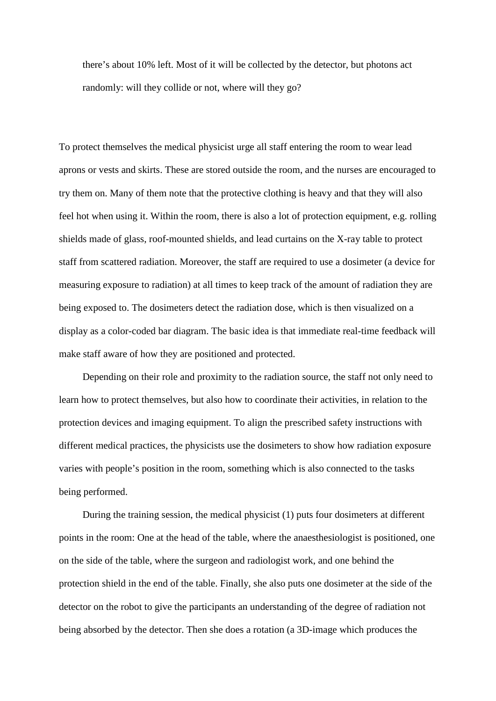there's about 10% left. Most of it will be collected by the detector, but photons act randomly: will they collide or not, where will they go?

To protect themselves the medical physicist urge all staff entering the room to wear lead aprons or vests and skirts. These are stored outside the room, and the nurses are encouraged to try them on. Many of them note that the protective clothing is heavy and that they will also feel hot when using it. Within the room, there is also a lot of protection equipment, e.g. rolling shields made of glass, roof-mounted shields, and lead curtains on the X-ray table to protect staff from scattered radiation. Moreover, the staff are required to use a dosimeter (a device for measuring exposure to radiation) at all times to keep track of the amount of radiation they are being exposed to. The dosimeters detect the radiation dose, which is then visualized on a display as a color-coded bar diagram. The basic idea is that immediate real-time feedback will make staff aware of how they are positioned and protected.

Depending on their role and proximity to the radiation source, the staff not only need to learn how to protect themselves, but also how to coordinate their activities, in relation to the protection devices and imaging equipment. To align the prescribed safety instructions with different medical practices, the physicists use the dosimeters to show how radiation exposure varies with people's position in the room, something which is also connected to the tasks being performed.

During the training session, the medical physicist (1) puts four dosimeters at different points in the room: One at the head of the table, where the anaesthesiologist is positioned, one on the side of the table, where the surgeon and radiologist work, and one behind the protection shield in the end of the table. Finally, she also puts one dosimeter at the side of the detector on the robot to give the participants an understanding of the degree of radiation not being absorbed by the detector. Then she does a rotation (a 3D-image which produces the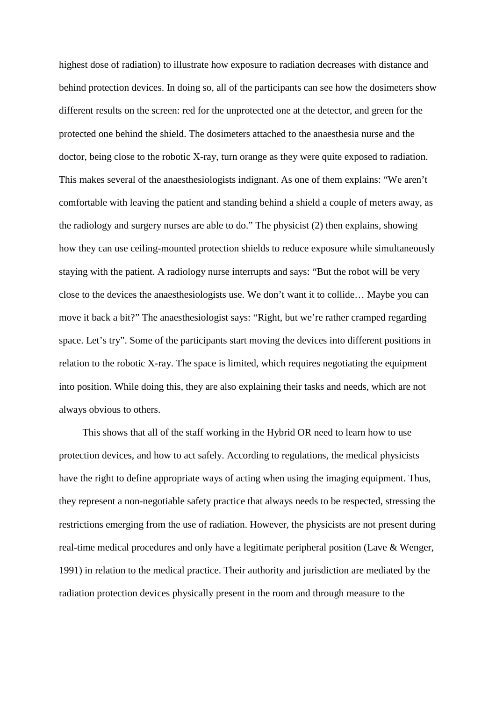highest dose of radiation) to illustrate how exposure to radiation decreases with distance and behind protection devices. In doing so, all of the participants can see how the dosimeters show different results on the screen: red for the unprotected one at the detector, and green for the protected one behind the shield. The dosimeters attached to the anaesthesia nurse and the doctor, being close to the robotic X-ray, turn orange as they were quite exposed to radiation. This makes several of the anaesthesiologists indignant. As one of them explains: "We aren't comfortable with leaving the patient and standing behind a shield a couple of meters away, as the radiology and surgery nurses are able to do." The physicist (2) then explains, showing how they can use ceiling-mounted protection shields to reduce exposure while simultaneously staying with the patient. A radiology nurse interrupts and says: "But the robot will be very close to the devices the anaesthesiologists use. We don't want it to collide… Maybe you can move it back a bit?" The anaesthesiologist says: "Right, but we're rather cramped regarding space. Let's try". Some of the participants start moving the devices into different positions in relation to the robotic X-ray. The space is limited, which requires negotiating the equipment into position. While doing this, they are also explaining their tasks and needs, which are not always obvious to others.

This shows that all of the staff working in the Hybrid OR need to learn how to use protection devices, and how to act safely. According to regulations, the medical physicists have the right to define appropriate ways of acting when using the imaging equipment. Thus, they represent a non-negotiable safety practice that always needs to be respected, stressing the restrictions emerging from the use of radiation. However, the physicists are not present during real-time medical procedures and only have a legitimate peripheral position (Lave & Wenger, 1991) in relation to the medical practice. Their authority and jurisdiction are mediated by the radiation protection devices physically present in the room and through measure to the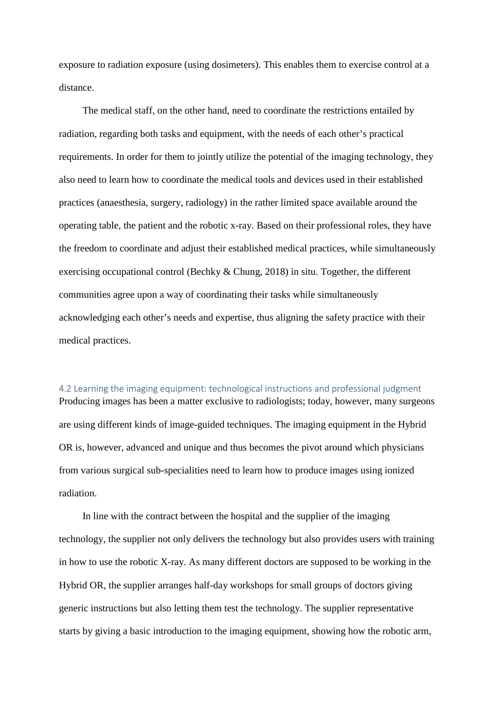exposure to radiation exposure (using dosimeters). This enables them to exercise control at a distance.

The medical staff, on the other hand, need to coordinate the restrictions entailed by radiation, regarding both tasks and equipment, with the needs of each other's practical requirements. In order for them to jointly utilize the potential of the imaging technology, they also need to learn how to coordinate the medical tools and devices used in their established practices (anaesthesia, surgery, radiology) in the rather limited space available around the operating table, the patient and the robotic x-ray. Based on their professional roles, they have the freedom to coordinate and adjust their established medical practices, while simultaneously exercising occupational control (Bechky & Chung, 2018) in situ. Together, the different communities agree upon a way of coordinating their tasks while simultaneously acknowledging each other's needs and expertise, thus aligning the safety practice with their medical practices.

## 4.2 Learning the imaging equipment: technological instructions and professional judgment

Producing images has been a matter exclusive to radiologists; today, however, many surgeons are using different kinds of image-guided techniques. The imaging equipment in the Hybrid OR is, however, advanced and unique and thus becomes the pivot around which physicians from various surgical sub-specialities need to learn how to produce images using ionized radiation.

In line with the contract between the hospital and the supplier of the imaging technology, the supplier not only delivers the technology but also provides users with training in how to use the robotic X-ray. As many different doctors are supposed to be working in the Hybrid OR, the supplier arranges half-day workshops for small groups of doctors giving generic instructions but also letting them test the technology. The supplier representative starts by giving a basic introduction to the imaging equipment, showing how the robotic arm,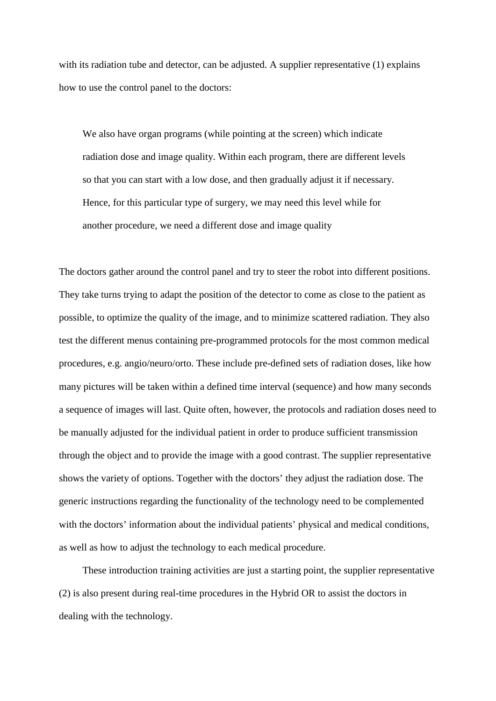with its radiation tube and detector, can be adjusted. A supplier representative (1) explains how to use the control panel to the doctors:

We also have organ programs (while pointing at the screen) which indicate radiation dose and image quality. Within each program, there are different levels so that you can start with a low dose, and then gradually adjust it if necessary. Hence, for this particular type of surgery, we may need this level while for another procedure, we need a different dose and image quality

The doctors gather around the control panel and try to steer the robot into different positions. They take turns trying to adapt the position of the detector to come as close to the patient as possible, to optimize the quality of the image, and to minimize scattered radiation. They also test the different menus containing pre-programmed protocols for the most common medical procedures, e.g. angio/neuro/orto. These include pre-defined sets of radiation doses, like how many pictures will be taken within a defined time interval (sequence) and how many seconds a sequence of images will last. Quite often, however, the protocols and radiation doses need to be manually adjusted for the individual patient in order to produce sufficient transmission through the object and to provide the image with a good contrast. The supplier representative shows the variety of options. Together with the doctors' they adjust the radiation dose. The generic instructions regarding the functionality of the technology need to be complemented with the doctors' information about the individual patients' physical and medical conditions, as well as how to adjust the technology to each medical procedure.

These introduction training activities are just a starting point, the supplier representative (2) is also present during real-time procedures in the Hybrid OR to assist the doctors in dealing with the technology.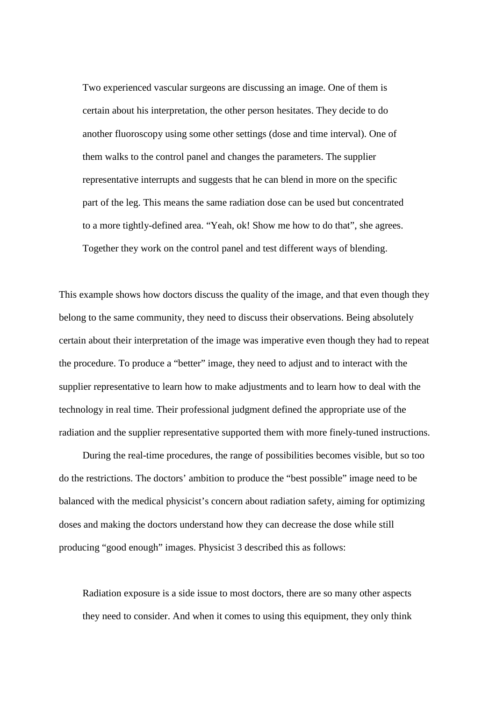Two experienced vascular surgeons are discussing an image. One of them is certain about his interpretation, the other person hesitates. They decide to do another fluoroscopy using some other settings (dose and time interval). One of them walks to the control panel and changes the parameters. The supplier representative interrupts and suggests that he can blend in more on the specific part of the leg. This means the same radiation dose can be used but concentrated to a more tightly-defined area. "Yeah, ok! Show me how to do that", she agrees. Together they work on the control panel and test different ways of blending.

This example shows how doctors discuss the quality of the image, and that even though they belong to the same community, they need to discuss their observations. Being absolutely certain about their interpretation of the image was imperative even though they had to repeat the procedure. To produce a "better" image, they need to adjust and to interact with the supplier representative to learn how to make adjustments and to learn how to deal with the technology in real time. Their professional judgment defined the appropriate use of the radiation and the supplier representative supported them with more finely-tuned instructions.

During the real-time procedures, the range of possibilities becomes visible, but so too do the restrictions. The doctors' ambition to produce the "best possible" image need to be balanced with the medical physicist's concern about radiation safety, aiming for optimizing doses and making the doctors understand how they can decrease the dose while still producing "good enough" images. Physicist 3 described this as follows:

Radiation exposure is a side issue to most doctors, there are so many other aspects they need to consider. And when it comes to using this equipment, they only think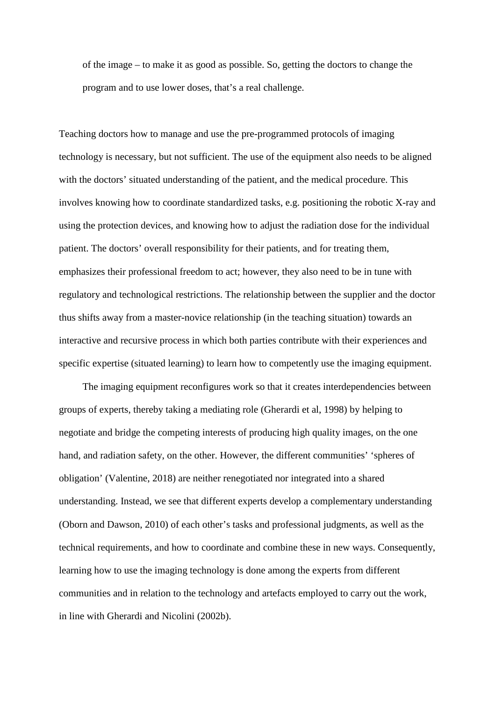of the image – to make it as good as possible. So, getting the doctors to change the program and to use lower doses, that's a real challenge.

Teaching doctors how to manage and use the pre-programmed protocols of imaging technology is necessary, but not sufficient. The use of the equipment also needs to be aligned with the doctors' situated understanding of the patient, and the medical procedure. This involves knowing how to coordinate standardized tasks, e.g. positioning the robotic X-ray and using the protection devices, and knowing how to adjust the radiation dose for the individual patient. The doctors' overall responsibility for their patients, and for treating them, emphasizes their professional freedom to act; however, they also need to be in tune with regulatory and technological restrictions. The relationship between the supplier and the doctor thus shifts away from a master-novice relationship (in the teaching situation) towards an interactive and recursive process in which both parties contribute with their experiences and specific expertise (situated learning) to learn how to competently use the imaging equipment.

The imaging equipment reconfigures work so that it creates interdependencies between groups of experts, thereby taking a mediating role (Gherardi et al, 1998) by helping to negotiate and bridge the competing interests of producing high quality images, on the one hand, and radiation safety, on the other. However, the different communities' 'spheres of obligation' (Valentine, 2018) are neither renegotiated nor integrated into a shared understanding. Instead, we see that different experts develop a complementary understanding (Oborn and Dawson, 2010) of each other's tasks and professional judgments, as well as the technical requirements, and how to coordinate and combine these in new ways. Consequently, learning how to use the imaging technology is done among the experts from different communities and in relation to the technology and artefacts employed to carry out the work, in line with Gherardi and Nicolini (2002b).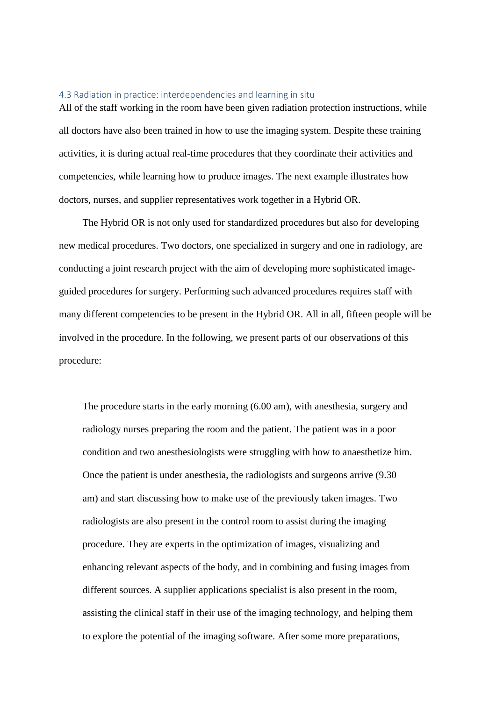#### 4.3 Radiation in practice: interdependencies and learning in situ

All of the staff working in the room have been given radiation protection instructions, while all doctors have also been trained in how to use the imaging system. Despite these training activities, it is during actual real-time procedures that they coordinate their activities and competencies, while learning how to produce images. The next example illustrates how doctors, nurses, and supplier representatives work together in a Hybrid OR.

The Hybrid OR is not only used for standardized procedures but also for developing new medical procedures. Two doctors, one specialized in surgery and one in radiology, are conducting a joint research project with the aim of developing more sophisticated imageguided procedures for surgery. Performing such advanced procedures requires staff with many different competencies to be present in the Hybrid OR. All in all, fifteen people will be involved in the procedure. In the following, we present parts of our observations of this procedure:

The procedure starts in the early morning (6.00 am), with anesthesia, surgery and radiology nurses preparing the room and the patient. The patient was in a poor condition and two anesthesiologists were struggling with how to anaesthetize him. Once the patient is under anesthesia, the radiologists and surgeons arrive (9.30 am) and start discussing how to make use of the previously taken images. Two radiologists are also present in the control room to assist during the imaging procedure. They are experts in the optimization of images, visualizing and enhancing relevant aspects of the body, and in combining and fusing images from different sources. A supplier applications specialist is also present in the room, assisting the clinical staff in their use of the imaging technology, and helping them to explore the potential of the imaging software. After some more preparations,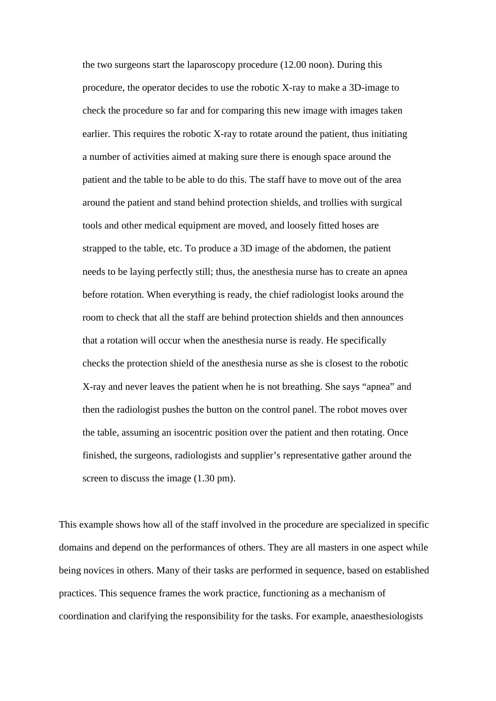the two surgeons start the laparoscopy procedure (12.00 noon). During this procedure, the operator decides to use the robotic X-ray to make a 3D-image to check the procedure so far and for comparing this new image with images taken earlier. This requires the robotic X-ray to rotate around the patient, thus initiating a number of activities aimed at making sure there is enough space around the patient and the table to be able to do this. The staff have to move out of the area around the patient and stand behind protection shields, and trollies with surgical tools and other medical equipment are moved, and loosely fitted hoses are strapped to the table, etc. To produce a 3D image of the abdomen, the patient needs to be laying perfectly still; thus, the anesthesia nurse has to create an apnea before rotation. When everything is ready, the chief radiologist looks around the room to check that all the staff are behind protection shields and then announces that a rotation will occur when the anesthesia nurse is ready. He specifically checks the protection shield of the anesthesia nurse as she is closest to the robotic X-ray and never leaves the patient when he is not breathing. She says "apnea" and then the radiologist pushes the button on the control panel. The robot moves over the table, assuming an isocentric position over the patient and then rotating. Once finished, the surgeons, radiologists and supplier's representative gather around the screen to discuss the image (1.30 pm).

This example shows how all of the staff involved in the procedure are specialized in specific domains and depend on the performances of others. They are all masters in one aspect while being novices in others. Many of their tasks are performed in sequence, based on established practices. This sequence frames the work practice, functioning as a mechanism of coordination and clarifying the responsibility for the tasks. For example, anaesthesiologists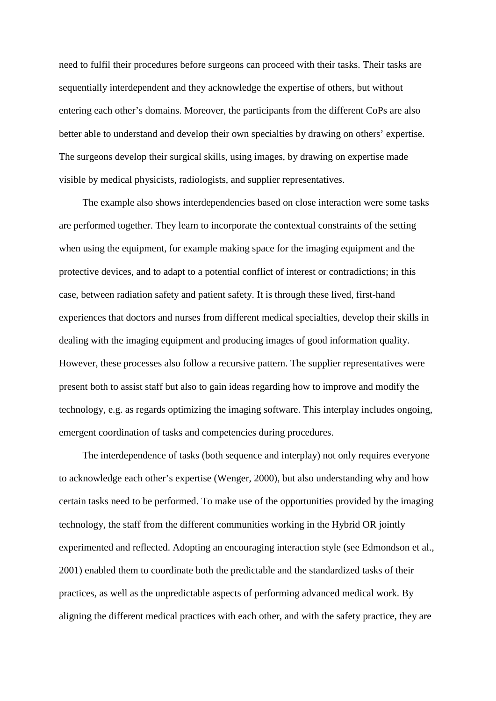need to fulfil their procedures before surgeons can proceed with their tasks. Their tasks are sequentially interdependent and they acknowledge the expertise of others, but without entering each other's domains. Moreover, the participants from the different CoPs are also better able to understand and develop their own specialties by drawing on others' expertise. The surgeons develop their surgical skills, using images, by drawing on expertise made visible by medical physicists, radiologists, and supplier representatives.

The example also shows interdependencies based on close interaction were some tasks are performed together. They learn to incorporate the contextual constraints of the setting when using the equipment, for example making space for the imaging equipment and the protective devices, and to adapt to a potential conflict of interest or contradictions; in this case, between radiation safety and patient safety. It is through these lived, first-hand experiences that doctors and nurses from different medical specialties, develop their skills in dealing with the imaging equipment and producing images of good information quality. However, these processes also follow a recursive pattern. The supplier representatives were present both to assist staff but also to gain ideas regarding how to improve and modify the technology, e.g. as regards optimizing the imaging software. This interplay includes ongoing, emergent coordination of tasks and competencies during procedures.

The interdependence of tasks (both sequence and interplay) not only requires everyone to acknowledge each other's expertise (Wenger, 2000), but also understanding why and how certain tasks need to be performed. To make use of the opportunities provided by the imaging technology, the staff from the different communities working in the Hybrid OR jointly experimented and reflected. Adopting an encouraging interaction style (see Edmondson et al., 2001) enabled them to coordinate both the predictable and the standardized tasks of their practices, as well as the unpredictable aspects of performing advanced medical work. By aligning the different medical practices with each other, and with the safety practice, they are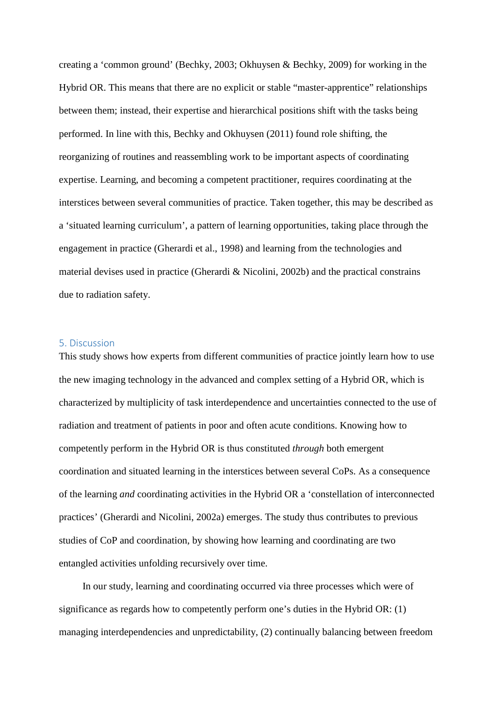creating a 'common ground' (Bechky, 2003; Okhuysen & Bechky, 2009) for working in the Hybrid OR. This means that there are no explicit or stable "master-apprentice" relationships between them; instead, their expertise and hierarchical positions shift with the tasks being performed. In line with this, Bechky and Okhuysen (2011) found role shifting, the reorganizing of routines and reassembling work to be important aspects of coordinating expertise. Learning, and becoming a competent practitioner, requires coordinating at the interstices between several communities of practice. Taken together, this may be described as a 'situated learning curriculum', a pattern of learning opportunities, taking place through the engagement in practice (Gherardi et al., 1998) and learning from the technologies and material devises used in practice (Gherardi & Nicolini, 2002b) and the practical constrains due to radiation safety.

# 5. Discussion

This study shows how experts from different communities of practice jointly learn how to use the new imaging technology in the advanced and complex setting of a Hybrid OR, which is characterized by multiplicity of task interdependence and uncertainties connected to the use of radiation and treatment of patients in poor and often acute conditions. Knowing how to competently perform in the Hybrid OR is thus constituted *through* both emergent coordination and situated learning in the interstices between several CoPs. As a consequence of the learning *and* coordinating activities in the Hybrid OR a 'constellation of interconnected practices' (Gherardi and Nicolini, 2002a) emerges. The study thus contributes to previous studies of CoP and coordination, by showing how learning and coordinating are two entangled activities unfolding recursively over time.

In our study, learning and coordinating occurred via three processes which were of significance as regards how to competently perform one's duties in the Hybrid OR: (1) managing interdependencies and unpredictability, (2) continually balancing between freedom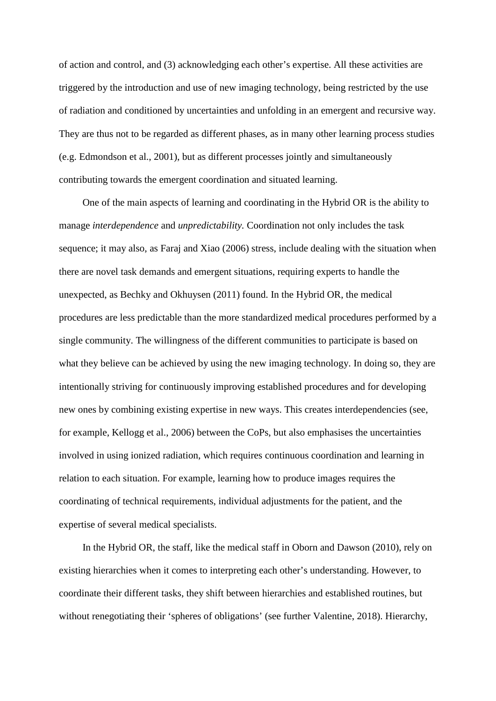of action and control, and (3) acknowledging each other's expertise. All these activities are triggered by the introduction and use of new imaging technology, being restricted by the use of radiation and conditioned by uncertainties and unfolding in an emergent and recursive way. They are thus not to be regarded as different phases, as in many other learning process studies (e.g. Edmondson et al., 2001), but as different processes jointly and simultaneously contributing towards the emergent coordination and situated learning.

One of the main aspects of learning and coordinating in the Hybrid OR is the ability to manage *interdependence* and *unpredictability.* Coordination not only includes the task sequence; it may also, as Faraj and Xiao (2006) stress, include dealing with the situation when there are novel task demands and emergent situations, requiring experts to handle the unexpected, as Bechky and Okhuysen (2011) found. In the Hybrid OR, the medical procedures are less predictable than the more standardized medical procedures performed by a single community. The willingness of the different communities to participate is based on what they believe can be achieved by using the new imaging technology. In doing so, they are intentionally striving for continuously improving established procedures and for developing new ones by combining existing expertise in new ways. This creates interdependencies (see, for example, Kellogg et al., 2006) between the CoPs, but also emphasises the uncertainties involved in using ionized radiation, which requires continuous coordination and learning in relation to each situation. For example, learning how to produce images requires the coordinating of technical requirements, individual adjustments for the patient, and the expertise of several medical specialists.

In the Hybrid OR, the staff, like the medical staff in Oborn and Dawson (2010), rely on existing hierarchies when it comes to interpreting each other's understanding. However, to coordinate their different tasks, they shift between hierarchies and established routines, but without renegotiating their 'spheres of obligations' (see further Valentine, 2018). Hierarchy,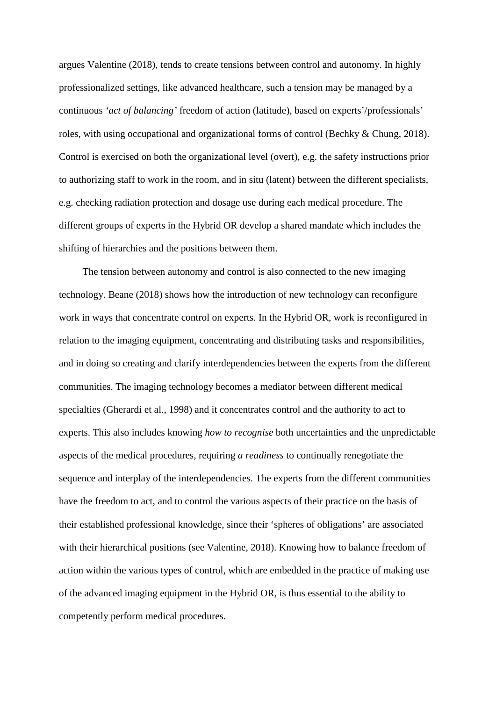argues Valentine (2018), tends to create tensions between control and autonomy. In highly professionalized settings, like advanced healthcare, such a tension may be managed by a continuous *'act of balancing'* freedom of action (latitude), based on experts'/professionals' roles, with using occupational and organizational forms of control (Bechky & Chung, 2018). Control is exercised on both the organizational level (overt), e.g. the safety instructions prior to authorizing staff to work in the room, and in situ (latent) between the different specialists, e.g. checking radiation protection and dosage use during each medical procedure. The different groups of experts in the Hybrid OR develop a shared mandate which includes the shifting of hierarchies and the positions between them.

The tension between autonomy and control is also connected to the new imaging technology. Beane (2018) shows how the introduction of new technology can reconfigure work in ways that concentrate control on experts. In the Hybrid OR, work is reconfigured in relation to the imaging equipment, concentrating and distributing tasks and responsibilities, and in doing so creating and clarify interdependencies between the experts from the different communities. The imaging technology becomes a mediator between different medical specialties (Gherardi et al., 1998) and it concentrates control and the authority to act to experts. This also includes knowing *how to recognise* both uncertainties and the unpredictable aspects of the medical procedures, requiring *a readiness* to continually renegotiate the sequence and interplay of the interdependencies. The experts from the different communities have the freedom to act, and to control the various aspects of their practice on the basis of their established professional knowledge, since their 'spheres of obligations' are associated with their hierarchical positions (see Valentine, 2018). Knowing how to balance freedom of action within the various types of control, which are embedded in the practice of making use of the advanced imaging equipment in the Hybrid OR, is thus essential to the ability to competently perform medical procedures.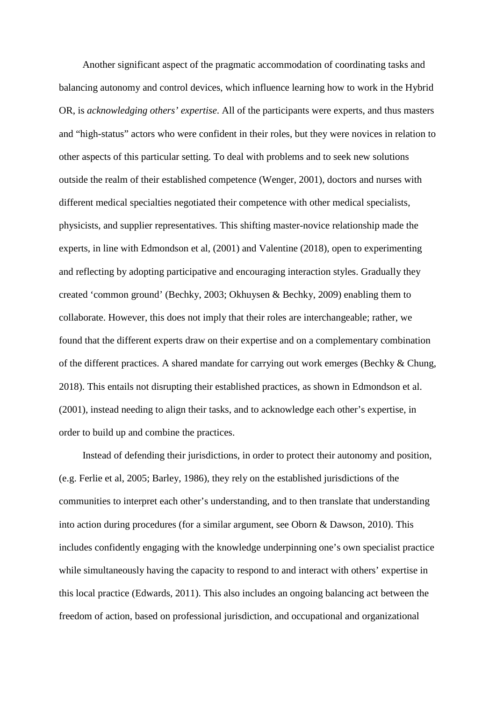Another significant aspect of the pragmatic accommodation of coordinating tasks and balancing autonomy and control devices, which influence learning how to work in the Hybrid OR, is *acknowledging others' expertise*. All of the participants were experts, and thus masters and "high-status" actors who were confident in their roles, but they were novices in relation to other aspects of this particular setting. To deal with problems and to seek new solutions outside the realm of their established competence (Wenger, 2001), doctors and nurses with different medical specialties negotiated their competence with other medical specialists, physicists, and supplier representatives. This shifting master-novice relationship made the experts, in line with Edmondson et al, (2001) and Valentine (2018), open to experimenting and reflecting by adopting participative and encouraging interaction styles. Gradually they created 'common ground' (Bechky, 2003; Okhuysen & Bechky, 2009) enabling them to collaborate. However, this does not imply that their roles are interchangeable; rather, we found that the different experts draw on their expertise and on a complementary combination of the different practices. A shared mandate for carrying out work emerges (Bechky & Chung, 2018). This entails not disrupting their established practices, as shown in Edmondson et al. (2001), instead needing to align their tasks, and to acknowledge each other's expertise, in order to build up and combine the practices.

Instead of defending their jurisdictions, in order to protect their autonomy and position, (e.g. Ferlie et al, 2005; Barley, 1986), they rely on the established jurisdictions of the communities to interpret each other's understanding, and to then translate that understanding into action during procedures (for a similar argument, see Oborn & Dawson, 2010). This includes confidently engaging with the knowledge underpinning one's own specialist practice while simultaneously having the capacity to respond to and interact with others' expertise in this local practice (Edwards, 2011). This also includes an ongoing balancing act between the freedom of action, based on professional jurisdiction, and occupational and organizational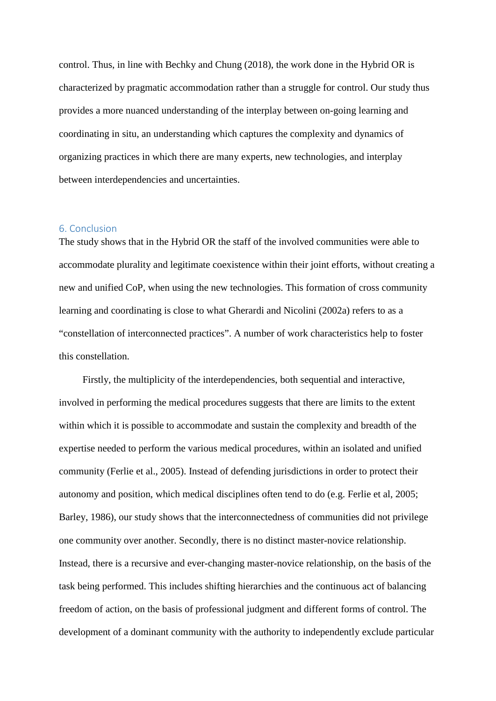control. Thus, in line with Bechky and Chung (2018), the work done in the Hybrid OR is characterized by pragmatic accommodation rather than a struggle for control. Our study thus provides a more nuanced understanding of the interplay between on-going learning and coordinating in situ, an understanding which captures the complexity and dynamics of organizing practices in which there are many experts, new technologies, and interplay between interdependencies and uncertainties.

## 6. Conclusion

The study shows that in the Hybrid OR the staff of the involved communities were able to accommodate plurality and legitimate coexistence within their joint efforts, without creating a new and unified CoP, when using the new technologies. This formation of cross community learning and coordinating is close to what Gherardi and Nicolini (2002a) refers to as a "constellation of interconnected practices". A number of work characteristics help to foster this constellation.

Firstly, the multiplicity of the interdependencies, both sequential and interactive, involved in performing the medical procedures suggests that there are limits to the extent within which it is possible to accommodate and sustain the complexity and breadth of the expertise needed to perform the various medical procedures, within an isolated and unified community (Ferlie et al., 2005). Instead of defending jurisdictions in order to protect their autonomy and position, which medical disciplines often tend to do (e.g. Ferlie et al, 2005; Barley, 1986), our study shows that the interconnectedness of communities did not privilege one community over another. Secondly, there is no distinct master-novice relationship. Instead, there is a recursive and ever-changing master-novice relationship, on the basis of the task being performed. This includes shifting hierarchies and the continuous act of balancing freedom of action, on the basis of professional judgment and different forms of control. The development of a dominant community with the authority to independently exclude particular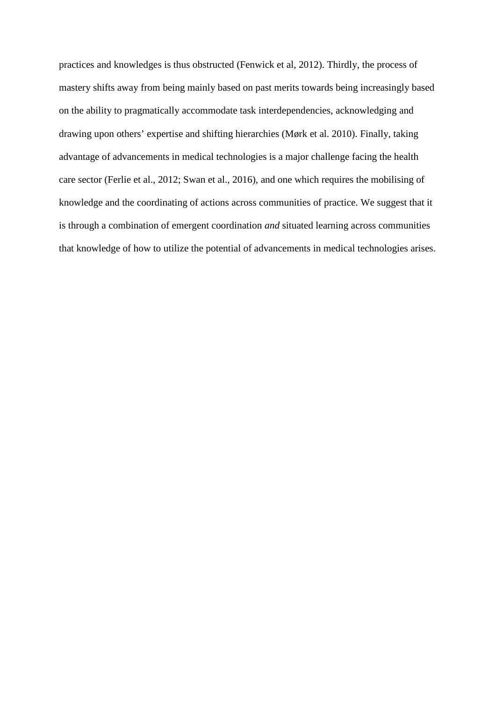practices and knowledges is thus obstructed (Fenwick et al, 2012). Thirdly, the process of mastery shifts away from being mainly based on past merits towards being increasingly based on the ability to pragmatically accommodate task interdependencies, acknowledging and drawing upon others' expertise and shifting hierarchies (Mørk et al. 2010). Finally, taking advantage of advancements in medical technologies is a major challenge facing the health care sector (Ferlie et al., 2012; Swan et al., 2016), and one which requires the mobilising of knowledge and the coordinating of actions across communities of practice. We suggest that it is through a combination of emergent coordination *and* situated learning across communities that knowledge of how to utilize the potential of advancements in medical technologies arises.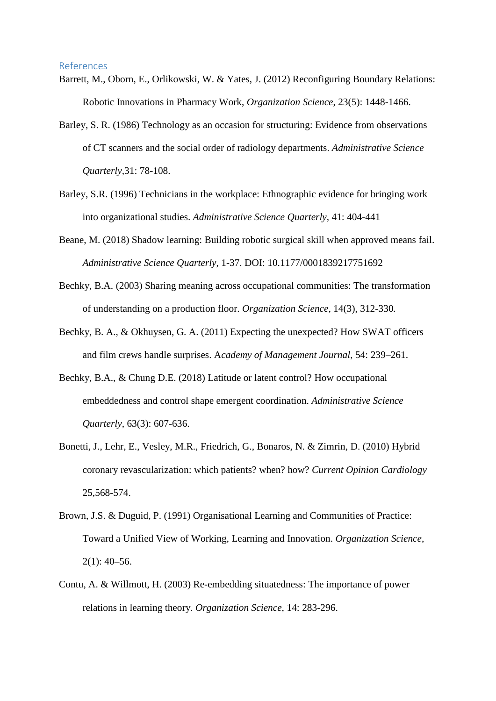#### References

- Barrett, M., Oborn, E., Orlikowski, W. & Yates, J. (2012) Reconfiguring Boundary Relations: Robotic Innovations in Pharmacy Work, *Organization Science*, 23(5): 1448-1466.
- Barley, S. R. (1986) Technology as an occasion for structuring: Evidence from observations of CT scanners and the social order of radiology departments. *Administrative Science Quarterly,*31: 78-108.
- Barley, S.R. (1996) Technicians in the workplace: Ethnographic evidence for bringing work into organizational studies. *Administrative Science Quarterly,* 41: 404-441
- Beane, M. (2018) Shadow learning: Building robotic surgical skill when approved means fail. *Administrative Science Quarterly*, 1-37. DOI: 10.1177/0001839217751692
- Bechky, B.A. (2003) Sharing meaning across occupational communities: The transformation of understanding on a production floor. *Organization Science,* 14(3), 312-330*.*
- Bechky, B. A., & Okhuysen, G. A. (2011) Expecting the unexpected? How SWAT officers and film crews handle surprises. A*cademy of Management Journal*, 54: 239–261.
- Bechky, B.A., & Chung D.E. (2018) Latitude or latent control? How occupational embeddedness and control shape emergent coordination. *Administrative Science Quarterly*, 63(3): 607-636.
- Bonetti, J., Lehr, E., Vesley, M.R., Friedrich, G., Bonaros, N. & Zimrin, D. (2010) Hybrid coronary revascularization: which patients? when? how? *Current Opinion Cardiology* 25,568-574.
- Brown, J.S. & Duguid, P. (1991) Organisational Learning and Communities of Practice: Toward a Unified View of Working, Learning and Innovation. *Organization Science*,  $2(1)$ : 40–56.
- Contu, A. & Willmott, H. (2003) Re-embedding situatedness: The importance of power relations in learning theory. *Organization Science*, 14: 283-296.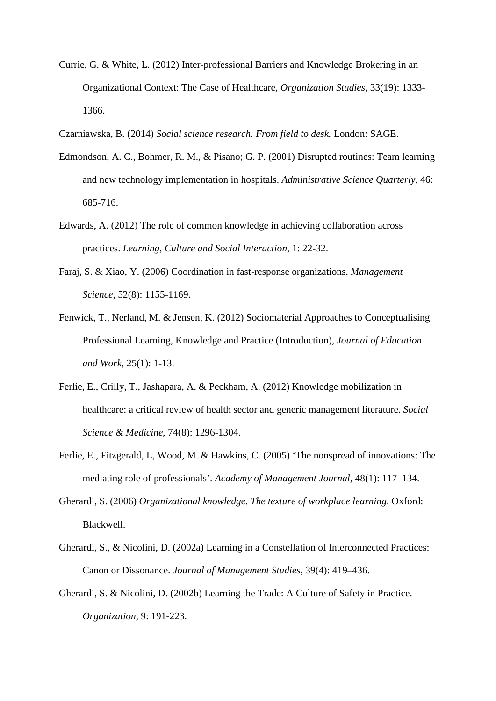- Currie, G. & White, L. (2012) Inter-professional Barriers and Knowledge Brokering in an Organizational Context: The Case of Healthcare, *Organization Studies*, 33(19): 1333- 1366.
- Czarniawska, B. (2014) *Social science research. From field to desk.* London: SAGE.
- Edmondson, A. C., Bohmer, R. M., & Pisano; G. P. (2001) Disrupted routines: Team learning and new technology implementation in hospitals. *Administrative Science Quarterly*, 46: 685-716.
- Edwards, A. (2012) The role of common knowledge in achieving collaboration across practices. *Learning, Culture and Social Interaction*, 1: 22-32.
- Faraj, S. & Xiao, Y. (2006) Coordination in fast-response organizations. *Management Science*, 52(8): 1155-1169.
- Fenwick, T., Nerland, M. & Jensen, K. (2012) Sociomaterial Approaches to Conceptualising Professional Learning, Knowledge and Practice (Introduction), *Journal of Education and Work*, 25(1): 1-13.
- Ferlie, E., Crilly, T., Jashapara, A. & Peckham, A. (2012) Knowledge mobilization in healthcare: a critical review of health sector and generic management literature. *Social Science & Medicine*, 74(8): 1296-1304.
- Ferlie, E., Fitzgerald, L, Wood, M. & Hawkins, C. (2005) 'The nonspread of innovations: The mediating role of professionals'. *Academy of Management Journal*, 48(1): 117–134.
- Gherardi, S. (2006) *Organizational knowledge. The texture of workplace learning*. Oxford: Blackwell.
- Gherardi, S., & Nicolini, D. (2002a) Learning in a Constellation of Interconnected Practices: Canon or Dissonance. *Journal of Management Studies,* 39(4): 419–436.
- Gherardi, S. & Nicolini, D. (2002b) Learning the Trade: A Culture of Safety in Practice. *Organization*, 9: 191-223.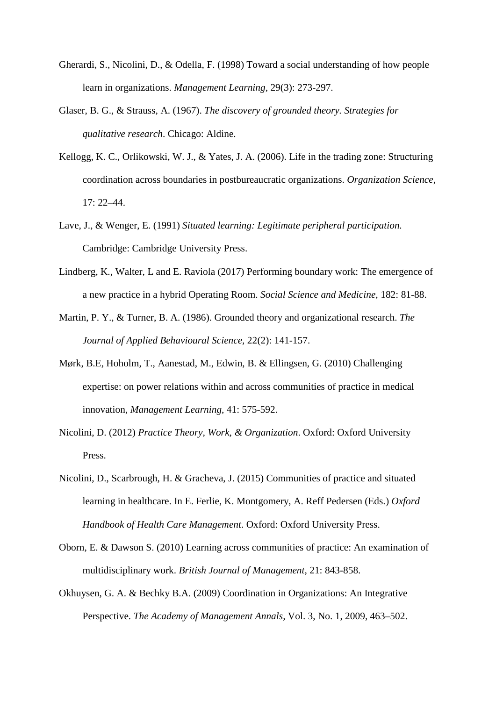- Gherardi, S., Nicolini, D., & Odella, F. (1998) Toward a social understanding of how people learn in organizations. *Management Learning*, 29(3): 273-297.
- Glaser, B. G., & Strauss, A. (1967). *The discovery of grounded theory. Strategies for qualitative research*. Chicago: Aldine.
- Kellogg, K. C., Orlikowski, W. J., & Yates, J. A. (2006). Life in the trading zone: Structuring coordination across boundaries in postbureaucratic organizations. *Organization Science*, 17: 22–44.
- Lave, J., & Wenger, E. (1991) *Situated learning: Legitimate peripheral participation.* Cambridge: Cambridge University Press.
- Lindberg, K., Walter, L and E. Raviola (2017) Performing boundary work: The emergence of a new practice in a hybrid Operating Room. *Social Science and Medicine*, 182: 81-88.
- Martin, P. Y., & Turner, B. A. (1986). Grounded theory and organizational research. *The Journal of Applied Behavioural Science,* 22(2): 141-157.
- Mørk, B.E, Hoholm, T., Aanestad, M., Edwin, B. & Ellingsen, G. (2010) Challenging expertise: on power relations within and across communities of practice in medical innovation, *Management Learning*, 41: 575-592.
- Nicolini, D. (2012) *Practice Theory, Work, & Organization*. Oxford: Oxford University Press.
- Nicolini, D., Scarbrough, H. & Gracheva, J. (2015) Communities of practice and situated learning in healthcare. In E. Ferlie, K. Montgomery, A. Reff Pedersen (Eds.) *Oxford Handbook of Health Care Management*. Oxford: Oxford University Press.
- Oborn, E. & Dawson S. (2010) Learning across communities of practice: An examination of multidisciplinary work. *British Journal of Management*, 21: 843-858.
- Okhuysen, G. A. & Bechky B.A. (2009) Coordination in Organizations: An Integrative Perspective. *The Academy of Management Annals,* Vol. 3, No. 1, 2009, 463–502.